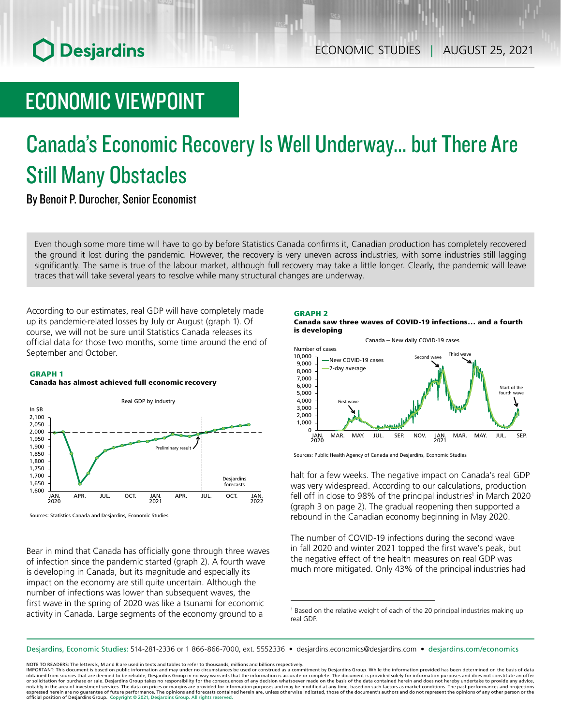# **O** Desjardins

## ECONOMIC VIEWPOINT

# Canada's Economic Recovery Is Well Underway... but There Are Still Many Obstacles

By Benoit P. Durocher, Senior Economist

Even though some more time will have to go by before Statistics Canada confirms it, Canadian production has completely recovered the ground it lost during the pandemic. However, the recovery is very uneven across industries, with some industries still lagging significantly. The same is true of the labour market, although full recovery may take a little longer. Clearly, the pandemic will leave traces that will take several years to resolve while many structural changes are underway.

According to our estimates, real GDP will have completely made up its pandemic-related losses by July or August (graph 1). Of course, we will not be sure until Statistics Canada releases its official data for those two months, some time around the end of September and October.

#### GRAPH 1

### Canada has almost achieved full economic recovery



Sources: Statistics Canada and Desjardins, Economic Studies

Bear in mind that Canada has officially gone through three waves of infection since the pandemic started (graph 2). A fourth wave is developing in Canada, but its magnitude and especially its impact on the economy are still quite uncertain. Although the number of infections was lower than subsequent waves, the first wave in the spring of 2020 was like a tsunami for economic activity in Canada. Large segments of the economy ground to a

### GRAPH 2





Sources: Public Health Agency of Canada and Desjardins, Economic Studies

halt for a few weeks. The negative impact on Canada's real GDP was very widespread. According to our calculations, production fell off in close to 98% of the principal industries<sup>1</sup> in March 2020 (graph 3 on page 2). The gradual reopening then supported a rebound in the Canadian economy beginning in May 2020.

The number of COVID-19 infections during the second wave in fall 2020 and winter 2021 topped the first wave's peak, but the negative effect of the health measures on real GDP was much more mitigated. Only 43% of the principal industries had

Desjardins, Economic Studies: 514‑281‑2336 or 1 866‑866‑7000, ext. 5552336 • desjardins.economics@desjardins.com • [desjardins.com/economics](http://desjardins.com/economics)

NOTE TO READERS: The letters k, M and B are used in texts and tables to refer to thousands, millions and billions respectively.

<sup>&</sup>lt;sup>1</sup> Based on the relative weight of each of the 20 principal industries making up real GDP.

IMPORTANT: This document is based on public information and may under no circumstances be used or construed as a commitment by Desjardins Group. While the information provided has been determined on the basis of data<br>obtai notably in the area of investment services. The data on prices or margins are provided for information purposes and may be modified at any time, based on such factors as market conditions. The past performances and project expressed herein are no guarantee of future performance. The opinions and forecasts contained herein are, unless otherwise indicated, those of the document's authors and do not represent the opinions of any other person or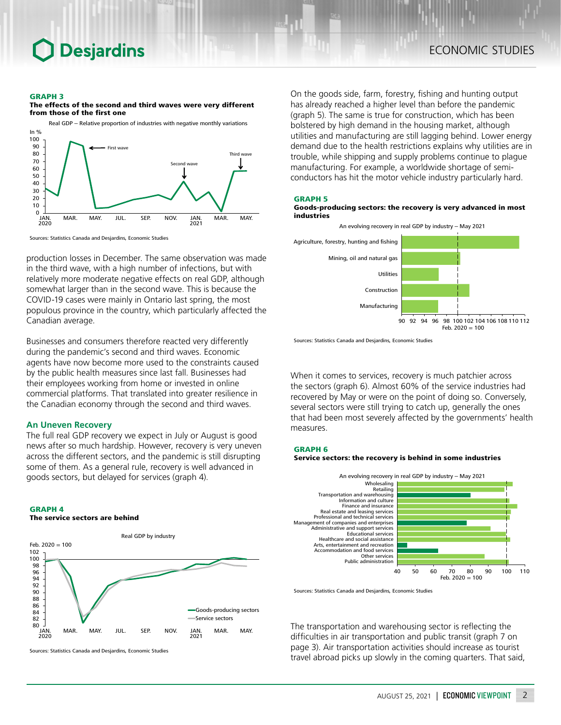### **Desjardins**

#### GRAPH 3

The effects of the second and third waves were very different from those of the first one



Sources: Statistics Canada and Desjardins, Economic Studies

production losses in December. The same observation was made in the third wave, with a high number of infections, but with relatively more moderate negative effects on real GDP, although somewhat larger than in the second wave. This is because the COVID‑19 cases were mainly in Ontario last spring, the most populous province in the country, which particularly affected the Canadian average.

Businesses and consumers therefore reacted very differently during the pandemic's second and third waves. Economic agents have now become more used to the constraints caused by the public health measures since last fall. Businesses had their employees working from home or invested in online commercial platforms. That translated into greater resilience in the Canadian economy through the second and third waves.

#### **An Uneven Recovery**

The full real GDP recovery we expect in July or August is good news after so much hardship. However, recovery is very uneven across the different sectors, and the pandemic is still disrupting some of them. As a general rule, recovery is well advanced in goods sectors, but delayed for services (graph 4).

#### GRAPH 4 The service sectors are behind



Sources: Statistics Canada and Desjardins, Economic Studies

On the goods side, farm, forestry, fishing and hunting output has already reached a higher level than before the pandemic (graph 5). The same is true for construction, which has been bolstered by high demand in the housing market, although utilities and manufacturing are still lagging behind. Lower energy demand due to the health restrictions explains why utilities are in trouble, while shipping and supply problems continue to plague manufacturing. For example, a worldwide shortage of semiconductors has hit the motor vehicle industry particularly hard.

#### GRAPH 5

GRAPH 6

#### Goods-producing sectors: the recovery is very advanced in most industries





Sources: Statistics Canada and Desjardins, Economic Studies

When it comes to services, recovery is much patchier across the sectors (graph 6). Almost 60% of the service industries had recovered by May or were on the point of doing so. Conversely, several sectors were still trying to catch up, generally the ones that had been most severely affected by the governments' health measures.



Sources: Statistics Canada and Desjardins, Economic Studies

The transportation and warehousing sector is reflecting the difficulties in air transportation and public transit (graph 7 on page 3). Air transportation activities should increase as tourist travel abroad picks up slowly in the coming quarters. That said,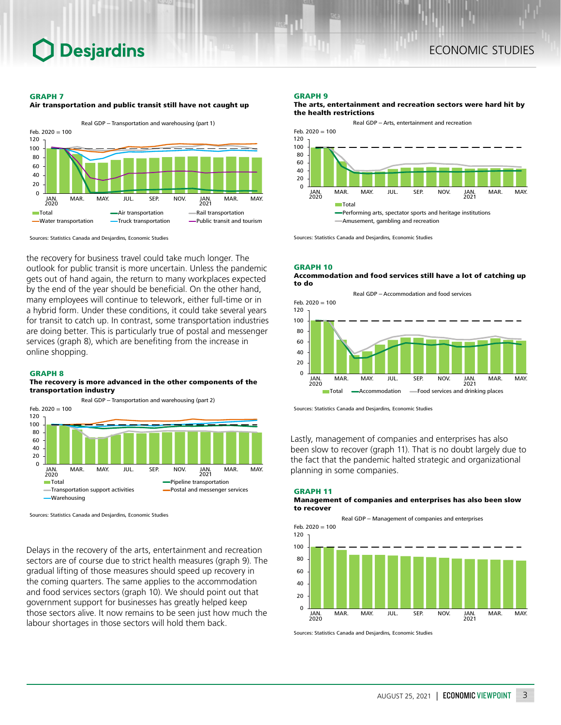#### GRAPH 7





Sources: Statistics Canada and Desjardins, Economic Studies

the recovery for business travel could take much longer. The outlook for public transit is more uncertain. Unless the pandemic gets out of hand again, the return to many workplaces expected by the end of the year should be beneficial. On the other hand, many employees will continue to telework, either full-time or in a hybrid form. Under these conditions, it could take several years for transit to catch up. In contrast, some transportation industries are doing better. This is particularly true of postal and messenger services (graph 8), which are benefiting from the increase in online shopping.

#### GRAPH 8

#### The recovery is more advanced in the other components of the transportation industry



Sources: Statistics Canada and Desjardins, Economic Studies

Delays in the recovery of the arts, entertainment and recreation sectors are of course due to strict health measures (graph 9). The gradual lifting of those measures should speed up recovery in the coming quarters. The same applies to the accommodation and food services sectors (graph 10). We should point out that government support for businesses has greatly helped keep those sectors alive. It now remains to be seen just how much the labour shortages in those sectors will hold them back.

#### GRAPH 9

#### The arts, entertainment and recreation sectors were hard hit by the health restrictions



Sources: Statistics Canada and Desjardins, Economic Studies

#### GRAPH 10 Accommodation and food services still have a lot of catching up to do



Sources: Statistics Canada and Desjardins, Economic Studies

Lastly, management of companies and enterprises has also been slow to recover (graph 11). That is no doubt largely due to the fact that the pandemic halted strategic and organizational planning in some companies.

GRAPH 11

#### Management of companies and enterprises has also been slow to recover



Sources: Statistics Canada and Desjardins, Economic Studies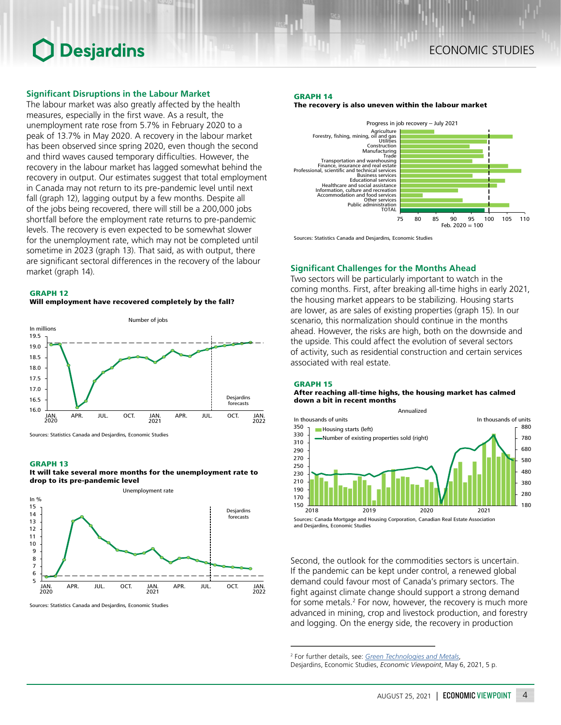### **O** Desjardins

#### **Significant Disruptions in the Labour Market**

The labour market was also greatly affected by the health measures, especially in the first wave. As a result, the unemployment rate rose from 5.7% in February 2020 to a peak of 13.7% in May 2020. A recovery in the labour market has been observed since spring 2020, even though the second and third waves caused temporary difficulties. However, the recovery in the labour market has lagged somewhat behind the recovery in output. Our estimates suggest that total employment in Canada may not return to its pre-pandemic level until next fall (graph 12), lagging output by a few months. Despite all of the jobs being recovered, there will still be a 200,000 jobs shortfall before the employment rate returns to pre-pandemic levels. The recovery is even expected to be somewhat slower for the unemployment rate, which may not be completed until sometime in 2023 (graph 13). That said, as with output, there are significant sectoral differences in the recovery of the labour market (graph 14). **Significant Challenges for the Months Ahead**





Sources: Statistics Canada and Desjardins, Economic Studies

#### GRAPH 13





Sources: Statistics Canada and Desjardins, Economic Studies

### ECONOMIC STUDIES

#### GRAPH 14

The recovery is also uneven within the labour market



Sources: Statistics Canada and Desjardins, Economic Studies

Two sectors will be particularly important to watch in the coming months. First, after breaking all-time highs in early 2021, the housing market appears to be stabilizing. Housing starts are lower, as are sales of existing properties (graph 15). In our scenario, this normalization should continue in the months ahead. However, the risks are high, both on the downside and the upside. This could affect the evolution of several sectors of activity, such as residential construction and certain services associated with real estate.

#### GRAPH 15

#### After reaching all-time highs, the housing market has calmed down a bit in recent months



and Desjardins, Economic Studies

Second, the outlook for the commodities sectors is uncertain. If the pandemic can be kept under control, a renewed global demand could favour most of Canada's primary sectors. The fight against climate change should support a strong demand for some metals.<sup>2</sup> For now, however, the recovery is much more advanced in mining, crop and livestock production, and forestry and logging. On the energy side, the recovery in production

<sup>2</sup> For further details, see: *[Green Technologies and Metals](https://www.desjardins.com/ressources/pdf/pv210506-e.pdf?resVer=1620310000000)*,

Desjardins, Economic Studies, *Economic Viewpoint*, May 6, 2021, 5 p.